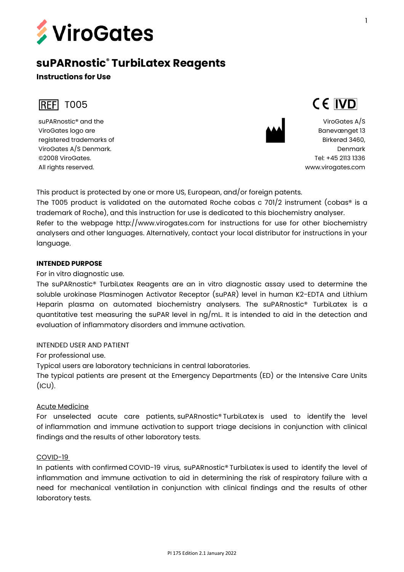

# **suPARnostic® TurbiLatex Reagents**

# **Instructions for Use**



suPARnostic® and the ViroGates logo are registered trademarks of ViroGates A/S Denmark. ©2008 ViroGates. All rights reserved.



ViroGates A/S Banevænget 13 Birkerød 3460, Denmark Tel: +45 2113 1336 [www.virogates.com](http://www.virogates.com/)

CE IVD

This product is protected by one or more US, European, and/or foreign patents. The T005 product is validated on the automated Roche cobas c  $701/2$  instrument (cobas® is a trademark of Roche), and this instruction for use is dedicated to this biochemistry analyser. Refer to the webpage http://www.virogates.com for instructions for use for other biochemistry analysers and other languages. Alternatively, contact your local distributor for instructions in your language.

## **INTENDED PURPOSE**

For in vitro diagnostic use.

The suPARnostic® TurbiLatex Reagents are an in vitro diagnostic assay used to determine the soluble urokinase Plasminogen Activator Receptor (suPAR) level in human K2-EDTA and Lithium Heparin plasma on automated biochemistry analysers. The suPARnostic® TurbiLatex is a quantitative test measuring the suPAR level in ng/mL. It is intended to aid in the detection and evaluation of inflammatory disorders and immune activation.

# INTENDED USER AND PATIENT

For professional use.

Typical users are laboratory technicians in central laboratories.

The typical patients are present at the Emergency Departments (ED) or the Intensive Care Units  $(ICU).$ 

## Acute Medicine

For unselected acute care patients, suPARnostic® TurbiLatex is used to identify the level of inflammation and immune activation to support triage decisions in conjunction with clinical findings and the results of other laboratory tests.

## COVID-19

In patients with confirmed COVID-19 virus, suPARnostic® TurbiLatex is used to identify the level of inflammation and immune activation to aid in determining the risk of respiratory failure with a need for mechanical ventilation in conjunction with clinical findings and the results of other laboratory tests.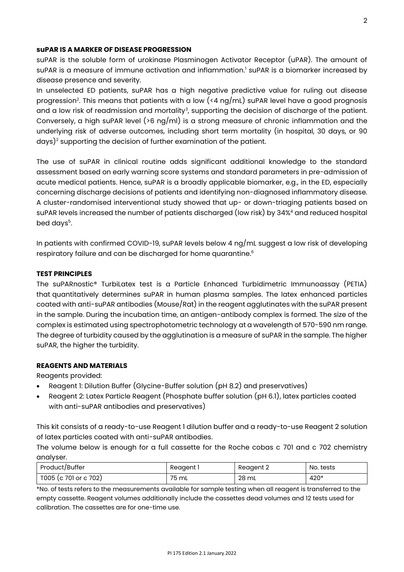#### **suPAR IS A MARKER OF DISEASE PROGRESSION**

suPAR is the soluble form of urokinase Plasminogen Activator Receptor (uPAR). The amount of suPAR is a measure of immune activation and inflammation.<sup>1</sup> suPAR is a biomarker increased by disease presence and severity.

In unselected ED patients, suPAR has a high negative predictive value for ruling out disease progression $^2$ . This means that patients with a low (<4 ng/mL) suPAR level have a good prognosis and a low risk of readmission and mortality $\beta$ , supporting the decision of discharge of the patient. Conversely, a high suPAR level (>6 ng/ml) is a strong measure of chronic inflammation and the underlying risk of adverse outcomes, including short term mortality (in hospital, 30 days, or 90 days)<sup>2</sup> supporting the decision of further examination of the patient.

The use of suPAR in clinical routine adds significant additional knowledge to the standard assessment based on early warning score systems and standard parameters in pre-admission of acute medical patients. Hence, suPAR is a broadly applicable biomarker, e.g., in the ED, especially concerning discharge decisions of patients and identifying non-diagnosed inflammatory disease. A cluster-randomised interventional study showed that up- or down-triaging patients based on suPAR levels increased the number of patients discharged (low risk) by 34%<sup>4</sup> and reduced hospital bed days<sup>5</sup>.

In patients with confirmed COVID-19, suPAR levels below 4 ng/mL suggest a low risk of developing respiratory failure and can be discharged for home quarantine. 6

#### **TEST PRINCIPLES**

The suPARnostic® TurbiLatex test is a Particle Enhanced Turbidimetric Immunoassay (PETIA) that quantitatively determines suPAR in human plasma samples. The latex enhanced particles coated with anti-suPAR antibodies (Mouse/Rat) in the reagent agglutinates with the suPAR present in the sample. During the incubation time, an antigen-antibody complex is formed. The size of the complex is estimated using spectrophotometric technology at a wavelength of 570-590 nm range. The degree of turbidity caused by the agglutination is a measure of suPAR in the sample. The higher suPAR, the higher the turbidity.

#### **REAGENTS AND MATERIALS**

Reagents provided:

- Reagent 1: Dilution Buffer (Glycine-Buffer solution (pH 8.2) and preservatives)
- Reagent 2: Latex Particle Reagent (Phosphate buffer solution (pH 6.1), latex particles coated with anti-suPAR antibodies and preservatives)

This kit consists of a ready-to-use Reagent 1 dilution buffer and a ready-to-use Reagent 2 solution of latex particles coated with anti-suPAR antibodies.

The volume below is enough for a full cassette for the Roche cobas c 701 and c 702 chemistry analyser.

| Product/Buffer        | Reagent 1 | Reagent 2 | No. tests |
|-----------------------|-----------|-----------|-----------|
| T005 (c 701 or c 702) | 75 mL     | 28 mL     | 420*      |

\*No. of tests refers to the measurements available for sample testing when all reagent is transferred to the empty cassette. Reagent volumes additionally include the cassettes dead volumes and 12 tests used for calibration. The cassettes are for one-time use.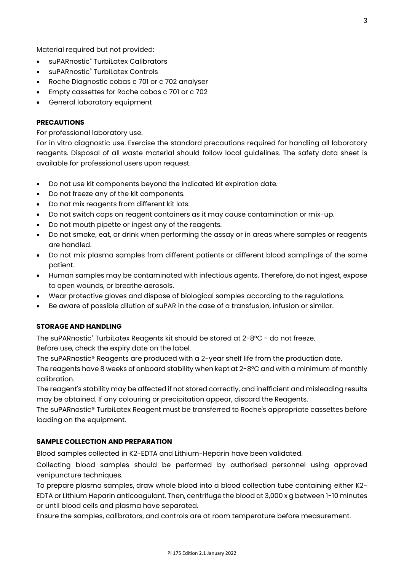Material required but not provided:

- suPARnostic<sup>®</sup> Turbil atex Calibrators
- suPARnostic® TurbiLatex Controls
- Roche Diagnostic cobas c 701 or c 702 analyser
- Empty cassettes for Roche cobas c 701 or c 702
- General laboratory equipment

## **PRECAUTIONS**

For professional laboratory use.

For in vitro diagnostic use. Exercise the standard precautions required for handling all laboratory reagents. Disposal of all waste material should follow local guidelines. The safety data sheet is available for professional users upon request.

- Do not use kit components beyond the indicated kit expiration date.
- Do not freeze any of the kit components.
- Do not mix reagents from different kit lots.
- Do not switch caps on reagent containers as it may cause contamination or mix-up.
- Do not mouth pipette or ingest any of the reagents.
- Do not smoke, eat, or drink when performing the assay or in areas where samples or reagents are handled.
- Do not mix plasma samples from different patients or different blood samplings of the same patient.
- Human samples may be contaminated with infectious agents. Therefore, do not ingest, expose to open wounds, or breathe aerosols.
- Wear protective gloves and dispose of biological samples according to the regulations.
- Be aware of possible dilution of suPAR in the case of a transfusion, infusion or similar.

## **STORAGE AND HANDLING**

The suPARnostic® TurbiLatex Reagents kit should be stored at 2-8°C - do not freeze. Before use, check the expiry date on the label.

The suPARnostic® Reagents are produced with a 2-year shelf life from the production date. The reagents have 8 weeks of onboard stability when kept at 2-8°C and with a minimum of monthly calibration.

The reagent's stability may be affected if not stored correctly, and inefficient and misleading results may be obtained. If any colouring or precipitation appear, discard the Reagents.

The suPARnostic® TurbiLatex Reagent must be transferred to Roche's appropriate cassettes before loading on the equipment.

## **SAMPLE COLLECTION AND PREPARATION**

Blood samples collected in K2-EDTA and Lithium-Heparin have been validated.

Collecting blood samples should be performed by authorised personnel using approved venipuncture techniques.

To prepare plasma samples, draw whole blood into a blood collection tube containing either K2- EDTA or Lithium Heparin anticoagulant. Then, centrifuge the blood at 3,000 x g between 1-10 minutes or until blood cells and plasma have separated.

Ensure the samples, calibrators, and controls are at room temperature before measurement.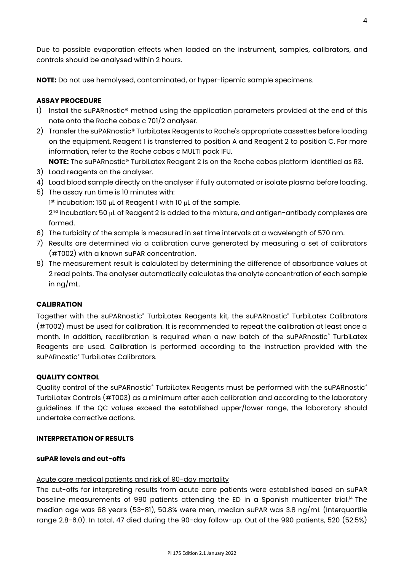Due to possible evaporation effects when loaded on the instrument, samples, calibrators, and controls should be analysed within 2 hours.

**NOTE:** Do not use hemolysed, contaminated, or hyper-lipemic sample specimens.

# **ASSAY PROCEDURE**

- 1) Install the suPARnostic® method using the application parameters provided at the end of this note onto the Roche cobas c 701/2 analyser.
- 2) Transfer the suPARnostic® TurbiLatex Reagents to Roche's appropriate cassettes before loading on the equipment. Reagent 1 is transferred to position A and Reagent 2 to position C. For more information, refer to the Roche cobas c MULTI pack IFU.

**NOTE:** The suPARnostic® TurbiLatex Reagent 2 is on the Roche cobas platform identified as R3.

- 3) Load reagents on the analyser.
- 4) Load blood sample directly on the analyser if fully automated or isolate plasma before loading.
- 5) The assay run time is 10 minutes with: 1 st incubation: 150 μL of Reagent 1 with 10 μL of the sample. 2<sup>nd</sup> incubation: 50 μL of Reagent 2 is added to the mixture, and antigen-antibody complexes are formed.
- 6) The turbidity of the sample is measured in set time intervals at a wavelength of 570 nm.
- 7) Results are determined via a calibration curve generated by measuring a set of calibrators (#T002) with a known suPAR concentration.
- 8) The measurement result is calculated by determining the difference of absorbance values at 2 read points. The analyser automatically calculates the analyte concentration of each sample in ng/mL.

# **CALIBRATION**

Together with the suPARnostic® TurbiLatex Reagents kit, the suPARnostic® TurbiLatex Calibrators (#T002) must be used for calibration. It is recommended to repeat the calibration at least once a month. In addition, recalibration is required when a new batch of the suPARnostic® TurbiLatex Reagents are used. Calibration is performed according to the instruction provided with the suPARnostic<sup>®</sup> TurbiLatex Calibrators.

# **QUALITY CONTROL**

Quality control of the suPARnostic® TurbiLatex Reagents must be performed with the suPARnostic® TurbiLatex Controls (#T003) as a minimum after each calibration and according to the laboratory guidelines. If the QC values exceed the established upper/lower range, the laboratory should undertake corrective actions.

# **INTERPRETATION OF RESULTS**

## **suPAR levels and cut-offs**

# Acute care medical patients and risk of 90-day mortality

The cut-offs for interpreting results from acute care patients were established based on suPAR baseline measurements of 990 patients attending the ED in a Spanish multicenter trial.<sup>14</sup> The median age was 68 years (53-81), 50.8% were men, median suPAR was 3.8 ng/mL (Interquartile range 2.8-6.0). In total, 47 died during the 90-day follow-up. Out of the 990 patients, 520 (52.5%)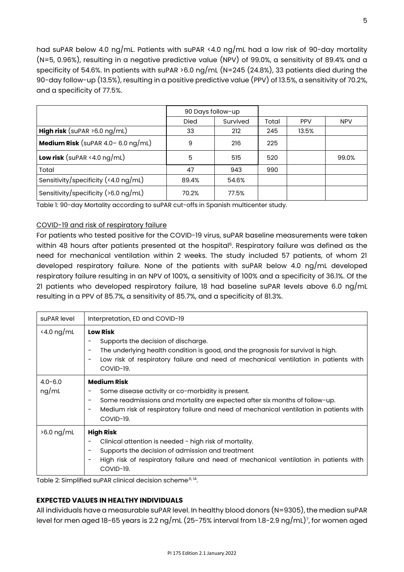had suPAR below 4.0 ng/mL. Patients with suPAR <4.0 ng/mL had a low risk of 90-day mortality (N=5, 0.96%), resulting in a negative predictive value (NPV) of 99.0%, a sensitivity of 89.4% and a specificity of 54.6%. In patients with suPAR >6.0 ng/mL (N=245 (24.8%), 33 patients died during the 90-day follow-up (13.5%), resulting in a positive predictive value (PPV) of 13.5%, a sensitivity of 70.2%, and a specificity of 77.5%.

|                                                | 90 Days follow-up |          |       |            |            |
|------------------------------------------------|-------------------|----------|-------|------------|------------|
|                                                | <b>Died</b>       | Survived | Total | <b>PPV</b> | <b>NPV</b> |
| <b>High risk</b> (suPAR $>6.0$ ng/mL)          | 33                | 212      | 245   | 13.5%      |            |
| <b>Medium Risk</b> (suPAR $4.0 - 6.0$ ng/mL)   | 9                 | 216      | 225   |            |            |
| <b>Low risk</b> (suPAR <4.0 $\log/\text{mL}$ ) | 5                 | 515      | 520   |            | 99.0%      |
| Total                                          | 47                | 943      | 990   |            |            |
| Sensitivity/specificity (<4.0 $\log$ /mL)      | 89.4%             | 54.6%    |       |            |            |
| Sensitivity/specificity ( $>6.0$ ng/mL)        | 70.2%             | 77.5%    |       |            |            |

Table 1: 90-day Mortality according to suPAR cut-offs in Spanish multicenter study.

## COVID-19 and risk of respiratory failure

For patients who tested positive for the COVID-19 virus, suPAR baseline measurements were taken within 48 hours after patients presented at the hospital $^{\rm 6}$ . Respiratory failure was defined as the need for mechanical ventilation within 2 weeks. The study included 57 patients, of whom 21 developed respiratory failure. None of the patients with suPAR below 4.0 ng/mL developed respiratory failure resulting in an NPV of 100%, a sensitivity of 100% and a specificity of 36.1%. Of the 21 patients who developed respiratory failure, 18 had baseline suPAR levels above 6.0 ng/mL resulting in a PPV of 85.7%, a sensitivity of 85.7%, and a specificity of 81.3%.

| suPAR level          | Interpretation, ED and COVID-19                                                                                                                                                                                                                                                                     |
|----------------------|-----------------------------------------------------------------------------------------------------------------------------------------------------------------------------------------------------------------------------------------------------------------------------------------------------|
| $\le$ 4.0 ng/mL      | <b>Low Risk</b><br>Supports the decision of discharge.<br>The underlying health condition is good, and the prognosis for survival is high.<br>$\overline{\phantom{a}}$<br>Low risk of respiratory failure and need of mechanical ventilation in patients with<br>COVID-19.                          |
| $4.0 - 6.0$<br>ng/mL | <b>Medium Risk</b><br>Some disease activity or co-morbidity is present.<br>-<br>Some readmissions and mortality are expected after six months of follow-up.<br>-<br>Medium risk of respiratory failure and need of mechanical ventilation in patients with<br>$\overline{\phantom{a}}$<br>COVID-19. |
| $>6.0$ ng/mL         | <b>High Risk</b><br>Clinical attention is needed - high risk of mortality.<br>Supports the decision of admission and treatment<br>$\overline{\phantom{a}}$<br>High risk of respiratory failure and need of mechanical ventilation in patients with<br>COVID-19.                                     |

Table 2: Simplified suPAR clinical decision scheme<sup>,6, 14</sup>.

## **EXPECTED VALUES IN HEALTHY INDIVIDUALS**

All individuals have a measurable suPAR level. In healthy blood donors (N=9305), the median suPAR level for men aged 18-65 years is 2.2 ng/mL (25-75% interval from 1.8-2.9 ng/mL)<sup>7</sup>, for women aged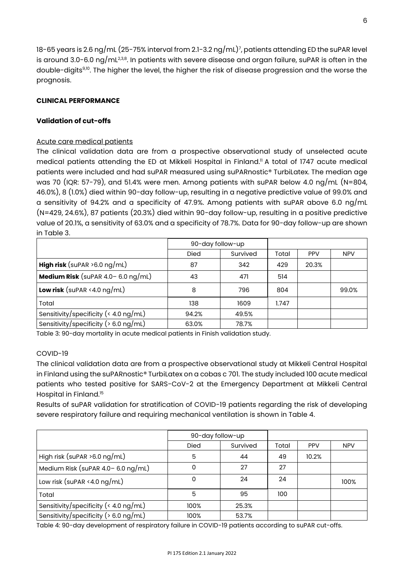18-65 years is 2.6 ng/mL (25-75% interval from 2.1-3.2 ng/mL)<sup>7</sup> , patients attending ED the suPAR level is around 3.0-6.0 ng/mL $^{238}\!\!$ . In patients with severe disease and organ failure, suPAR is often in the double-digits<sup>9,10</sup>. The higher the level, the higher the risk of disease progression and the worse the prognosis.

# **CLINICAL PERFORMANCE**

# **Validation of cut-offs**

# Acute care medical patients

The clinical validation data are from a prospective observational study of unselected acute medical patients attending the ED at Mikkeli Hospital in Finland. <sup>11</sup> A total of 1747 acute medical patients were included and had suPAR measured using suPARnostic® TurbiLatex. The median age was 70 (IQR: 57-79), and 51.4% were men. Among patients with suPAR below 4.0 ng/mL (N=804, 46.0%), 8 (1.0%) died within 90-day follow-up, resulting in a negative predictive value of 99.0% and a sensitivity of 94.2% and a specificity of 47.9%. Among patients with suPAR above 6.0 ng/mL (N=429, 24.6%), 87 patients (20.3%) died within 90-day follow-up, resulting in a positive predictive value of 20.1%, a sensitivity of 63.0% and a specificity of 78.7%. Data for 90-day follow-up are shown in Table 3.

|                                                               | 90-day follow-up |          |       |            |            |
|---------------------------------------------------------------|------------------|----------|-------|------------|------------|
|                                                               | <b>Died</b>      | Survived | Total | <b>PPV</b> | <b>NPV</b> |
| <b>High risk</b> (suPAR $>6.0$ ng/mL)                         | 87               | 342      | 429   | 20.3%      |            |
| <b>Medium Risk</b> (suPAR $4.0 - 6.0$ ng/mL)                  | 43               | 471      | 514   |            |            |
| <b>Low risk</b> (suPAR <4.0 $\log/\text{mL}$ )                | 8                | 796      | 804   |            | 99.0%      |
| Total                                                         | 138              | 1609     | 1.747 |            |            |
| Sensitivity/specificity ( $\langle 4.0 \text{ ng/mL} \rangle$ | 94.2%            | 49.5%    |       |            |            |
| Sensitivity/specificity ( $> 6.0$ ng/mL)                      | 63.0%            | 78.7%    |       |            |            |

Table 3: 90-day mortality in acute medical patients in Finish validation study.

# COVID-19

The clinical validation data are from a prospective observational study at Mikkeli Central Hospital in Finland using the suPARnostic® TurbiLatex on a cobas c 701. The study included 100 acute medical patients who tested positive for SARS-CoV-2 at the Emergency Department at Mikkeli Central Hospital in Finland.<sup>15</sup>

Results of suPAR validation for stratification of COVID-19 patients regarding the risk of developing severe respiratory failure and requiring mechanical ventilation is shown in Table 4.

|                                                               | 90-day follow-up |          |       |            |            |  |  |  |  |
|---------------------------------------------------------------|------------------|----------|-------|------------|------------|--|--|--|--|
|                                                               | <b>Died</b>      | Survived | Total | <b>PPV</b> | <b>NPV</b> |  |  |  |  |
| High risk (suPAR $>6.0$ ng/mL)                                | 5                | 44       | 49    | 10.2%      |            |  |  |  |  |
| Medium Risk (suPAR $4.0 - 6.0$ ng/mL)                         | 0                | 27       | 27    |            |            |  |  |  |  |
| Low risk (suPAR <4.0 $ng/mL$ )                                | 0                | 24       | 24    |            | 100%       |  |  |  |  |
| Total                                                         | 5                | 95       | 100   |            |            |  |  |  |  |
| Sensitivity/specificity ( $\langle 4.0 \text{ ng/mL} \rangle$ | 100%             | 25.3%    |       |            |            |  |  |  |  |
| Sensitivity/specificity ( $> 6.0$ ng/mL)                      | 100%             | 53.7%    |       |            |            |  |  |  |  |

Table 4: 90-day development of respiratory failure in COVID-19 patients according to suPAR cut-offs.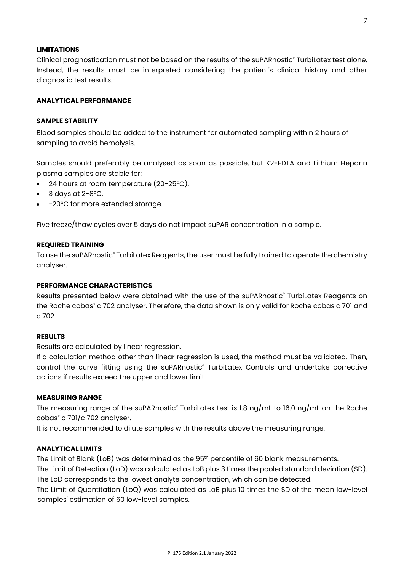## **LIMITATIONS**

Clinical prognostication must not be based on the results of the suPARnostic® TurbiLatex test alone. Instead, the results must be interpreted considering the patient's clinical history and other diagnostic test results.

# **ANALYTICAL PERFORMANCE**

### **SAMPLE STABILITY**

Blood samples should be added to the instrument for automated sampling within 2 hours of sampling to avoid hemolysis.

Samples should preferably be analysed as soon as possible, but K2-EDTA and Lithium Heparin plasma samples are stable for:

- 24 hours at room temperature (20-25°C).
- $3$  days at  $2-8$ °C.
- -20°C for more extended storage.

Five freeze/thaw cycles over 5 days do not impact suPAR concentration in a sample.

#### **REQUIRED TRAINING**

To use the suPARnostic® TurbiLatex Reagents, the user must be fully trained to operate the chemistry analyser.

#### **PERFORMANCE CHARACTERISTICS**

Results presented below were obtained with the use of the suPARnostic® TurbiLatex Reagents on the Roche cobas® c 702 analyser. Therefore, the data shown is only valid for Roche cobas c 701 and c 702.

#### **RESULTS**

Results are calculated by linear regression.

If a calculation method other than linear regression is used, the method must be validated. Then, control the curve fitting using the suPARnostic® TurbiLatex Controls and undertake corrective actions if results exceed the upper and lower limit.

#### **MEASURING RANGE**

The measuring range of the suPARnostic<sup>®</sup> TurbiLatex test is 1.8 ng/mL to 16.0 ng/mL on the Roche cobas $^{\circ}$  c 701/c 702 analyser.

It is not recommended to dilute samples with the results above the measuring range.

#### **ANALYTICAL LIMITS**

The Limit of Blank (LoB) was determined as the 95<sup>th</sup> percentile of 60 blank measurements. The Limit of Detection (LoD) was calculated as LoB plus 3 times the pooled standard deviation (SD). The LoD corresponds to the lowest analyte concentration, which can be detected.

The Limit of Quantitation (LoQ) was calculated as LoB plus 10 times the SD of the mean low-level 'samples' estimation of 60 low-level samples.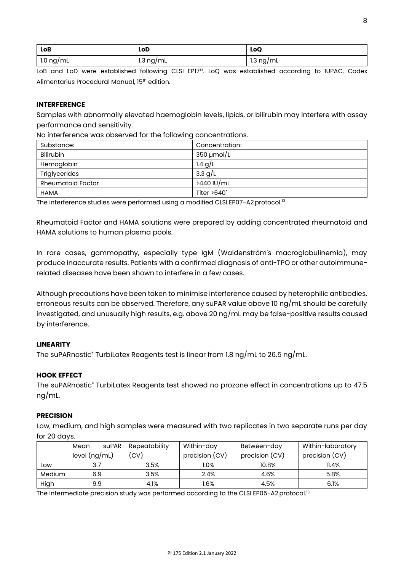| LoB                     | LoD             | LoQ       |
|-------------------------|-----------------|-----------|
| $1.0 \; \mathrm{ng/mL}$ | $1.3 \nmid m$ L | 1.3 ng/mL |

LoB and LoD were established following CLSI EP17<sup>13</sup>. LoQ was established according to IUPAC, Codex Alimentarius Procedural Manual, 15th edition.

## **INTERFERENCE**

Samples with abnormally elevated haemoglobin levels, lipids, or bilirubin may interfere with assay performance and sensitivity.

No interference was observed for the following concentrations.

| ີ                        |                 |
|--------------------------|-----------------|
| Substance:               | Concentration:  |
| Bilirubin                | $350 \mu$ mol/L |
| Hemoglobin               | 1.4 $g/L$       |
| Triglycerides            | 3.3 $g/L$       |
| <b>Rheumatoid Factor</b> | >440 IU/mL      |
| <b>HAMA</b>              | Titer $>640^*$  |

The interference studies were performed using a modified CLSI EP07-A2 protocol.<sup>13</sup>

Rheumatoid Factor and HAMA solutions were prepared by adding concentrated rheumatoid and HAMA solutions to human plasma pools.

In rare cases, gammopathy, especially type IgM (Waldenström's macroglobulinemia), may produce inaccurate results. Patients with a confirmed diagnosis of anti-TPO or other autoimmunerelated diseases have been shown to interfere in a few cases.

Although precautions have been taken to minimise interference caused by heterophilic antibodies, erroneous results can be observed. Therefore, any suPAR value above 10 ng/mL should be carefully investigated, and unusually high results, e.g. above 20 ng/mL may be false-positive results caused by interference.

# **LINEARITY**

The suPARnostic® TurbiLatex Reagents test is linear from 1.8 ng/mL to 26.5 ng/mL.

## **HOOK EFFECT**

The suPARnostic<sup>®</sup> TurbiLatex Reagents test showed no prozone effect in concentrations up to 47.5 ng/mL.

## **PRECISION**

Low, medium, and high samples were measured with two replicates in two separate runs per day for 20 days.

|        | suPAR<br>Mean       | Repeatability | Within-day     | Between-day    | Within-laboratory |
|--------|---------------------|---------------|----------------|----------------|-------------------|
|        | level $(ng/mL)$     | (CV)          | precision (CV) | precision (CV) | precision (CV)    |
| Low    |                     | 3.5%<br>l.0%  |                | 10.8%          | 11.4%             |
| Medium | 3.5%<br>2.4%<br>6.9 |               | 4.6%           | 5.8%           |                   |
| High   | 9.9                 | 4.1%          | .6%            | 4.5%           | 6.1%              |

The intermediate precision study was performed according to the CLSI EP05-A2 protocol.<sup>13</sup>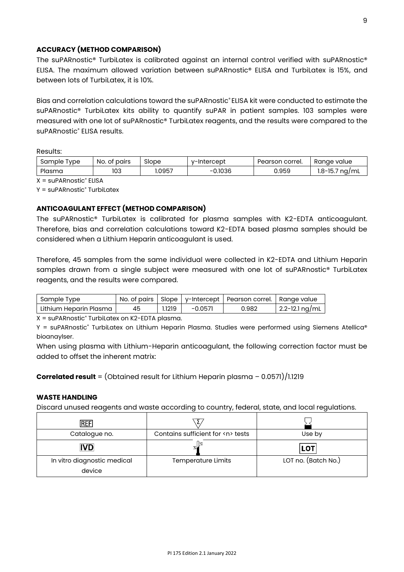## **ACCURACY (METHOD COMPARISON)**

The suPARnostic® TurbiLatex is calibrated against an internal control verified with suPARnostic® ELISA. The maximum allowed variation between suPARnostic® ELISA and TurbiLatex is 15%, and between lots of Turbil atex, it is 10%.

Bias and correlation calculations toward the suPARnostic® ELISA kit were conducted to estimate the suPARnostic® TurbiLatex kits ability to quantify suPAR in patient samples. 103 samples were measured with one lot of suPARnostic® TurbiLatex reagents, and the results were compared to the suPARnostic<sup>®</sup> ELISA results.

Results:

| Sample<br>'vpe | No.<br>pairs<br>ot | Slope | v-Intercept | Pearson correl. | Ranae<br>value    |
|----------------|--------------------|-------|-------------|-----------------|-------------------|
| Plasma         | 103                | .0957 | 0.1036<br>- | 0.959           | 1.8-15.7<br>na/mL |

 $X = \text{supARNostic}^*$  ELISA

Y = suPARnostic<sup>®</sup> TurbiLatex

## **ANTICOAGULANT EFFECT (METHOD COMPARISON)**

The suPARnostic® TurbiLatex is calibrated for plasma samples with K2-EDTA anticoagulant. Therefore, bias and correlation calculations toward K2-EDTA based plasma samples should be considered when a Lithium Heparin anticoagulant is used.

Therefore, 45 samples from the same individual were collected in K2-EDTA and Lithium Heparin samples drawn from a single subject were measured with one lot of suPARnostic® TurbiLatex reagents, and the results were compared.

| Sample Type            |    |       |           | No. of pairs   Slope   y-Intercept   Pearson correl.   Range value |                             |
|------------------------|----|-------|-----------|--------------------------------------------------------------------|-----------------------------|
| Lithium Heparin Plasma | 45 | .1219 | $-0.0571$ | 0.982                                                              | $\frac{1}{2.2}$ -12.1 ng/mL |

 $X = \text{supARnosti}$ <sup>\*</sup> TurbiLatex on K2-EDTA plasma.

Y = suPARnostic® TurbiLatex on Lithium Heparin Plasma. Studies were performed using Siemens Atellica® bioanaylser.

When using plasma with Lithium-Heparin anticoagulant, the following correction factor must be added to offset the inherent matrix:

**Correlated result** = (Obtained result for Lithium Heparin plasma – 0.0571)/1.1219

## **WASTE HANDLING**

Discard unused reagents and waste according to country, federal, state, and local regulations.

| IRFF                                  |                                       |                     |
|---------------------------------------|---------------------------------------|---------------------|
| Catalogue no.                         | Contains sufficient for <n> tests</n> | Use by              |
| <b>IVD</b>                            |                                       | <b>LOT</b>          |
| In vitro diagnostic medical<br>device | <b>Temperature Limits</b>             | LOT no. (Batch No.) |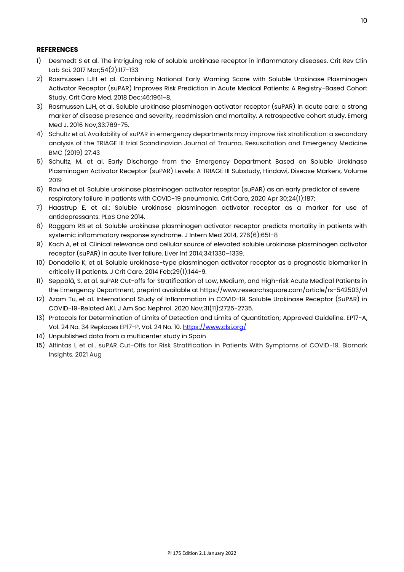## **REFERENCES**

- 1) Desmedt S et al. The intriguing role of soluble urokinase receptor in inflammatory diseases. Crit Rev Clin Lab Sci. 2017 Mar;54(2):117-133
- 2) Rasmussen LJH et al. Combining National Early Warning Score with Soluble Urokinase Plasminogen Activator Receptor (suPAR) Improves Risk Prediction in Acute Medical Patients: A Registry-Based Cohort Study. Crit Care Med. 2018 Dec;46:1961-8.
- 3) Rasmussen LJH, et al. Soluble urokinase plasminogen activator receptor (suPAR) in acute care: a strong marker of disease presence and severity, readmission and mortality. A retrospective cohort study. Emerg Med J. 2016 Nov;33:769-75.
- 4) Schultz et al. Availability of suPAR in emergency departments may improve risk stratification: a secondary analysis of the TRIAGE III trial Scandinavian Journal of Trauma, Resuscitation and Emergency Medicine BMC (2019) 27:43
- 5) Schultz, M. et al. Early Discharge from the Emergency Department Based on Soluble Urokinase Plasminogen Activator Receptor (suPAR) Levels: A TRIAGE III Substudy, Hindawi, Disease Markers, Volume 2019
- 6) Rovina et al. Soluble urokinase plasminogen activator receptor (suPAR) as an early predictor of severe respiratory failure in patients with COVID-19 pneumonia. Crit Care, 2020 Apr 30;24(1):187;
- 7) Haastrup E, et al.: Soluble urokinase plasminogen activator receptor as a marker for use of antidepressants. PLoS One 2014.
- 8) Raggam RB et al. Soluble urokinase plasminogen activator receptor predicts mortality in patients with systemic inflammatory response syndrome. J Intern Med 2014, 276(6):651-8
- 9) Koch A, et al. Clinical relevance and cellular source of elevated soluble urokinase plasminogen activator receptor (suPAR) in acute liver failure. Liver Int 2014;34:1330–1339.
- 10) Donadello K, et al. Soluble urokinase-type plasminogen activator receptor as a prognostic biomarker in critically ill patients. J Crit Care. 2014 Feb;29(1):144-9.
- 11) Seppälä, S. et al. suPAR Cut-offs for Stratification of Low, Medium, and High-risk Acute Medical Patients in the Emergency Department, preprint available at https://www.researchsquare.com/article/rs-542503/v1
- 12) Azam Tu, et al. International Study of Inflammation in COVID-19. Soluble Urokinase Receptor (SuPAR) in COVID-19-Related AKI. J Am Soc Nephrol. 2020 Nov;31(11):2725-2735.
- 13) Protocols for Determination of Limits of Detection and Limits of Quantitation; Approved Guideline. EP17-A, Vol. 24 No. 34 Replaces EP17-P, Vol. 24 No. 10[. https://www.clsi.org/](https://www.clsi.org/)
- 14) Unpublished data from a multicenter study in Spain
- 15) Altintas I, et al.. suPAR Cut-Offs for Risk Stratification in Patients With Symptoms of COVID-19. Biomark Insights. 2021 Aug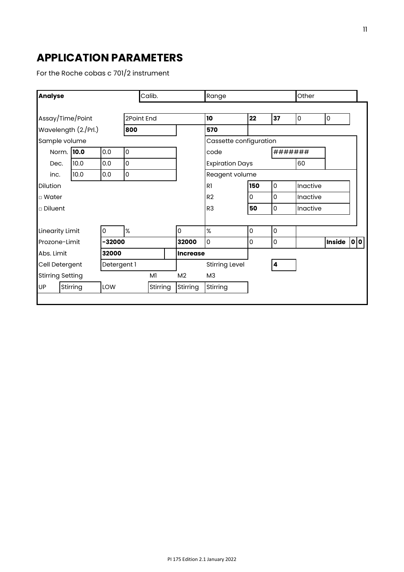# **APPLICATION PARAMETERS**

For the Roche cobas c 701/2 instrument

| <b>Analyse</b>          | Calib.                    |       |                     |          | Range           |                        |                     | Other               |             |               |     |  |
|-------------------------|---------------------------|-------|---------------------|----------|-----------------|------------------------|---------------------|---------------------|-------------|---------------|-----|--|
| Assay/Time/Point        |                           |       | 2Point End          |          |                 | 10                     | 22                  | 37                  | $\mathbf 0$ | 0             |     |  |
| Wavelength (2./Prl.)    |                           |       | 800                 |          |                 | 570                    |                     |                     |             |               |     |  |
| Sample volume           |                           |       |                     |          |                 | Cassette configuration |                     |                     |             |               |     |  |
|                         | Norm. 10.0                | 0.0   | $\mathsf{O}\xspace$ |          |                 | code                   |                     |                     | #######     |               |     |  |
| Dec.                    | 10.0                      | 0.0   | $\mathsf 0$         |          |                 | <b>Expiration Days</b> |                     |                     | 60          |               |     |  |
| inc.                    | 10.0                      | 0.0   | $\mathsf{O}\xspace$ |          |                 | Reagent volume         |                     |                     |             |               |     |  |
| <b>Dilution</b>         |                           |       |                     | R1       | 150             | 0                      | Inactive            |                     |             |               |     |  |
| □ Water                 |                           |       |                     |          |                 | R <sub>2</sub>         | l O                 | 0                   | Inactive    |               |     |  |
| $\Box$ Diluent          |                           |       |                     |          |                 | R <sub>3</sub>         | 50                  | 0                   | Inactive    |               |     |  |
|                         |                           |       |                     |          |                 |                        |                     |                     |             |               |     |  |
| <b>Linearity Limit</b>  |                           | 0     | %                   |          | $\overline{0}$  | %                      | $\mathsf{O}\xspace$ | $\mathsf{O}\xspace$ |             |               |     |  |
|                         | Prozone-Limit<br>$-32000$ |       |                     |          | 32000           | 0                      | $\overline{0}$      | 0                   |             | <b>Inside</b> | 0 0 |  |
| Abs. Limit              |                           | 32000 |                     |          | <b>Increase</b> |                        |                     |                     |             |               |     |  |
| Cell Detergent          |                           |       | Detergent 1         |          |                 | <b>Stirring Level</b>  |                     | 4                   |             |               |     |  |
| <b>Stirring Setting</b> |                           |       |                     | M1       | M <sub>2</sub>  | M <sub>3</sub>         |                     |                     |             |               |     |  |
| <b>UP</b>               | Stirring                  | LOW   |                     | Stirring | Stirring        | Stirring               |                     |                     |             |               |     |  |
|                         |                           |       |                     |          |                 |                        |                     |                     |             |               |     |  |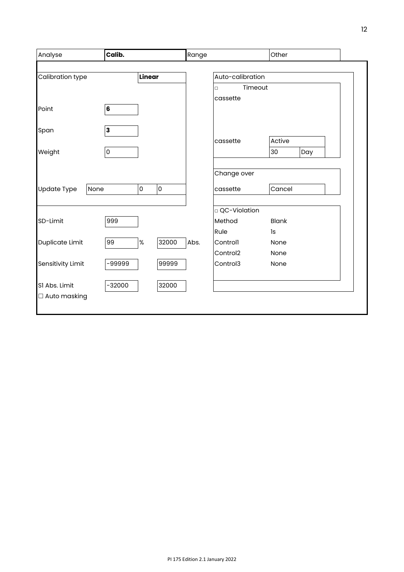| Analyse             | Calib.                  |                                            |       | Range |                      | Other        |     |  |  |
|---------------------|-------------------------|--------------------------------------------|-------|-------|----------------------|--------------|-----|--|--|
|                     |                         |                                            |       |       |                      |              |     |  |  |
| Calibration type    |                         | Linear                                     |       |       | Auto-calibration     |              |     |  |  |
|                     |                         |                                            |       |       | Timeout<br>$\Box$    |              |     |  |  |
|                     |                         |                                            |       |       | cassette             |              |     |  |  |
| Point               | $6\phantom{1}$          |                                            |       |       |                      |              |     |  |  |
|                     |                         |                                            |       |       |                      |              |     |  |  |
| Span                | $\overline{\mathbf{3}}$ |                                            |       |       |                      |              |     |  |  |
|                     |                         |                                            |       |       | cassette             | Active       |     |  |  |
| Weight              | $\mathsf 0$             |                                            |       |       |                      | 30           | Day |  |  |
|                     |                         |                                            |       |       |                      |              |     |  |  |
|                     |                         |                                            |       |       | Change over          |              |     |  |  |
| Update Type<br>None |                         | $\mathsf{O}\xspace$<br>$\mathsf{O}\xspace$ |       |       | cassette             | Cancel       |     |  |  |
|                     |                         |                                            |       |       |                      |              |     |  |  |
|                     |                         |                                            |       |       | □ QC-Violation       |              |     |  |  |
| SD-Limit            | 999                     |                                            |       |       | Method               | <b>Blank</b> |     |  |  |
|                     |                         |                                            |       |       | Rule                 | 1s           |     |  |  |
| Duplicate Limit     | 99                      | $\%$                                       | 32000 | Abs.  | Controll             | None         |     |  |  |
|                     |                         |                                            |       |       | Control <sub>2</sub> | None         |     |  |  |
| Sensitivity Limit   | -99999                  |                                            | 99999 |       | Control3             | None         |     |  |  |
|                     |                         |                                            |       |       |                      |              |     |  |  |
| SI Abs. Limit       | $-32000$                |                                            | 32000 |       |                      |              |     |  |  |
| $\Box$ Auto masking |                         |                                            |       |       |                      |              |     |  |  |
|                     |                         |                                            |       |       |                      |              |     |  |  |
|                     |                         |                                            |       |       |                      |              |     |  |  |